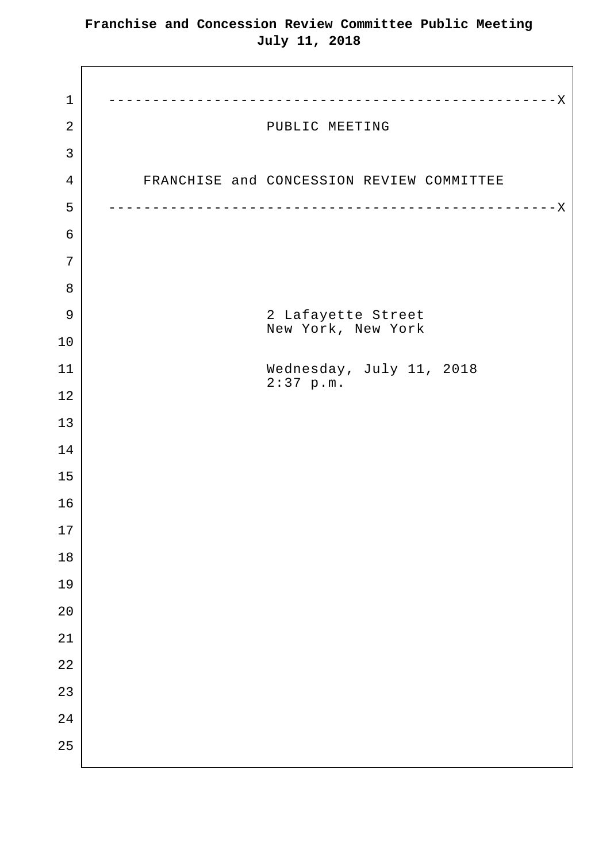1 ---------------------------------------------------X 2 | PUBLIC MEETING 4 | FRANCHISE and CONCESSION REVIEW COMMITTEE 5 ---------------------------------------------------X 9 2 Lafayette Street New York, New York 11 Wednesday, July 11, 2018 2:37 p.m.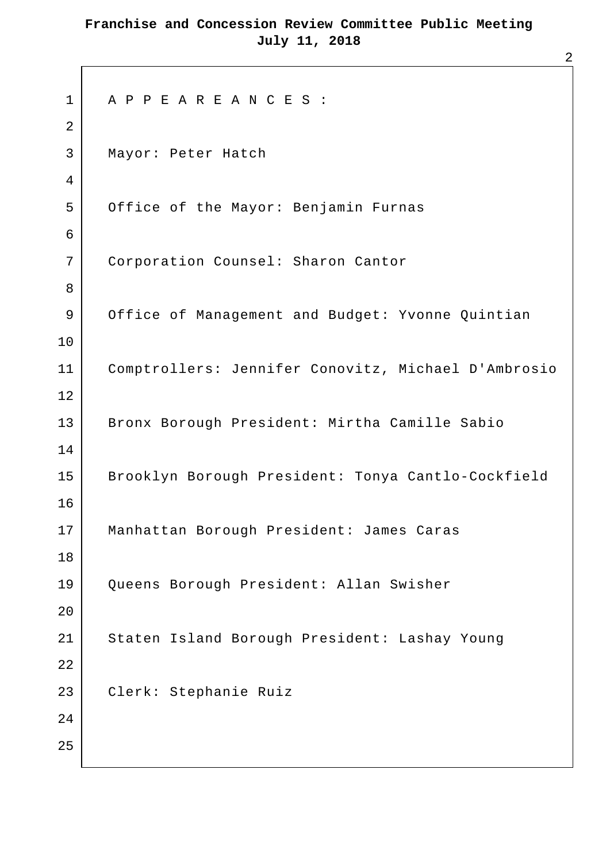```
1 A P P E A R E A N C E S :
2 
3 Mayor: Peter Hatch
4 
5 Office of the Mayor: Benjamin Furnas
6 
7 Corporation Counsel: Sharon Cantor
8 
9 Office of Management and Budget: Yvonne Quintian
10 
11 Comptrollers: Jennifer Conovitz, Michael D'Ambrosio
12 
13 | Bronx Borough President: Mirtha Camille Sabio
14 
15 Brooklyn Borough President: Tonya Cantlo-Cockfield
16 
17 Manhattan Borough President: James Caras
18 
19 Queens Borough President: Allan Swisher
20 
21 Staten Island Borough President: Lashay Young
22 
23 Clerk: Stephanie Ruiz
2.425
```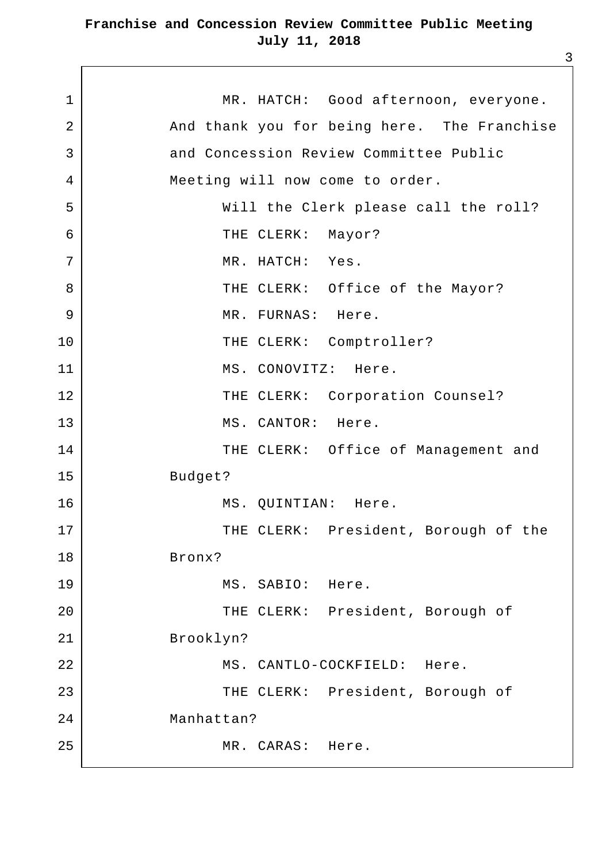1 MR. HATCH: Good afternoon, everyone. 2 And thank you for being here. The Franchise 3 and Concession Review Committee Public 4 Meeting will now come to order. 5 Will the Clerk please call the roll? 6 | THE CLERK: Mayor? 7 | MR. HATCH: Yes. 8 | THE CLERK: Office of the Mayor? 9 MR. FURNAS: Here. 10 THE CLERK: Comptroller? 11 MS. CONOVITZ: Here. 12 | THE CLERK: Corporation Counsel? 13 MS. CANTOR: Here. 14 | THE CLERK: Office of Management and 15 Budget? 16 | MS. QUINTIAN: Here. 17 | THE CLERK: President, Borough of the 18 Bronx? 19 | MS. SABIO: Here. 20 | THE CLERK: President, Borough of 21 Brooklyn? 22 | MS. CANTLO-COCKFIELD: Here. 23 | THE CLERK: President, Borough of 24 Manhattan? 25 MR. CARAS: Here.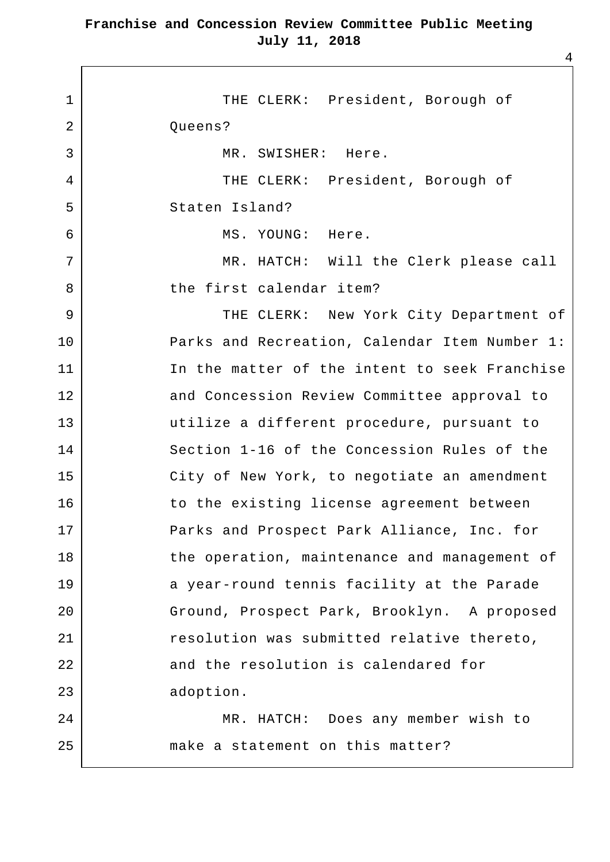1 | THE CLERK: President, Borough of 2 Queens? 3 MR. SWISHER: Here. 4 | THE CLERK: President, Borough of 5 Staten Island? 6 MS. YOUNG: Here. 7 MR. HATCH: Will the Clerk please call 8 bthe first calendar item? 9 | THE CLERK: New York City Department of 10 | Parks and Recreation, Calendar Item Number 1: 11 In the matter of the intent to seek Franchise 12 and Concession Review Committee approval to 13 utilize a different procedure, pursuant to 14 Section 1-16 of the Concession Rules of the 15 | City of New York, to negotiate an amendment 16 to the existing license agreement between 17 Parks and Prospect Park Alliance, Inc. for 18 the operation, maintenance and management of 19 a year-round tennis facility at the Parade 20 Ground, Prospect Park, Brooklyn. A proposed 21 | resolution was submitted relative thereto, 22 and the resolution is calendared for 23 adoption. 24 MR. HATCH: Does any member wish to 25 make a statement on this matter?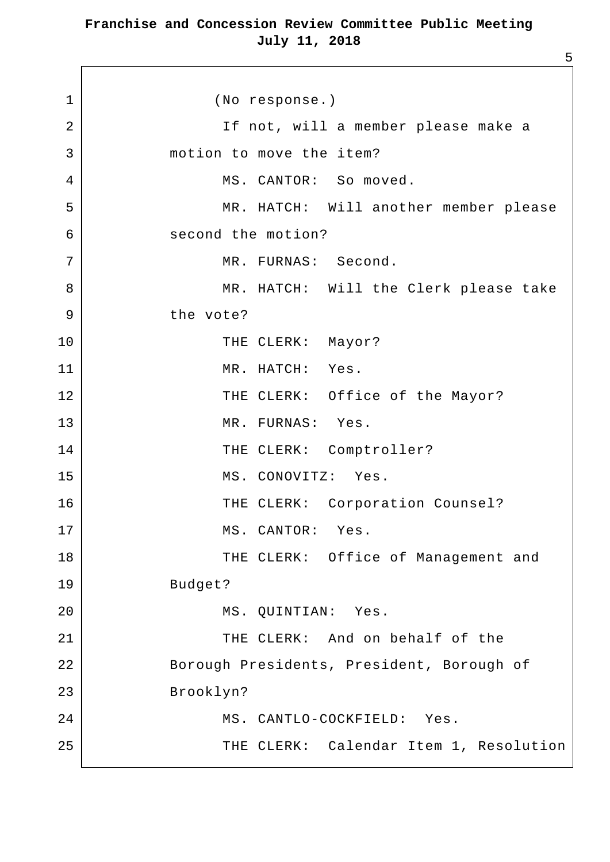1 (No response.) 2 | The second of the set of the set of the set of the set of the set of the set of the set of the set of the s 3 motion to move the item? 4 MS. CANTOR: So moved. 5 MR. HATCH: Will another member please 6 second the motion? 7 | MR. FURNAS: Second. 8 | MR. HATCH: Will the Clerk please take 9 bhe vote? 10 THE CLERK: Mayor? 11 MR. HATCH: Yes. 12 | THE CLERK: Office of the Mayor? 13 MR. FURNAS: Yes. 14 THE CLERK: Comptroller? 15 MS. CONOVITZ: Yes. 16 | THE CLERK: Corporation Counsel? 17 | MS. CANTOR: Yes. 18 THE CLERK: Office of Management and 19 Budget? 20 MS. OUINTIAN: Yes. 21 | THE CLERK: And on behalf of the 22 Borough Presidents, President, Borough of 23 Brooklyn? 24 MS. CANTLO-COCKFIELD: Yes. 25 | THE CLERK: Calendar Item 1, Resolution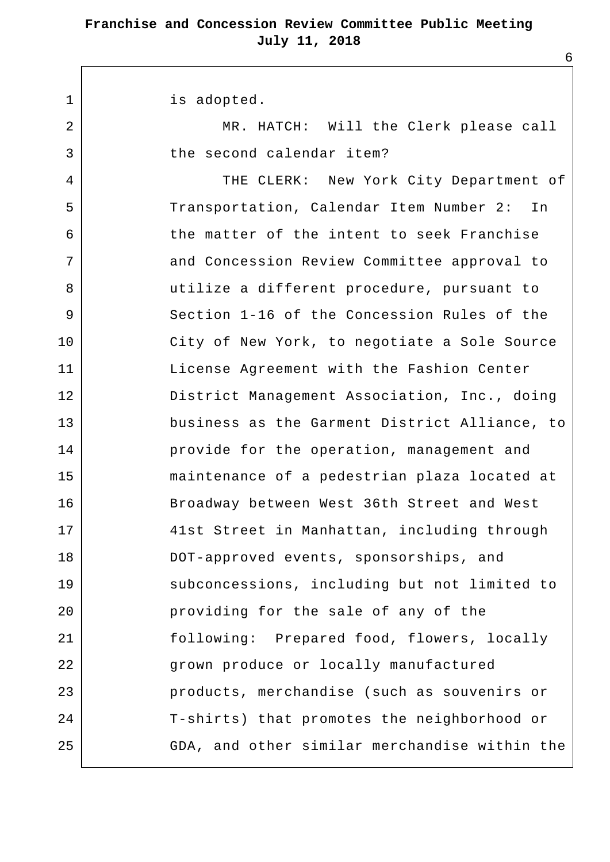1 | is adopted.

2 | MR. HATCH: Will the Clerk please call 3 b the second calendar item?

4 | THE CLERK: New York City Department of 5 Transportation, Calendar Item Number 2: In 6 the matter of the intent to seek Franchise 7 and Concession Review Committee approval to 8 utilize a different procedure, pursuant to 9 Section 1-16 of the Concession Rules of the 10 | City of New York, to negotiate a Sole Source 11 | License Agreement with the Fashion Center 12 District Management Association, Inc., doing 13 business as the Garment District Alliance, to 14 provide for the operation, management and 15 maintenance of a pedestrian plaza located at 16 Broadway between West 36th Street and West 17 41st Street in Manhattan, including through 18 DOT-approved events, sponsorships, and 19 | Subconcessions, including but not limited to 20 providing for the sale of any of the 21 following: Prepared food, flowers, locally 22 | grown produce or locally manufactured 23 products, merchandise (such as souvenirs or 24 T-shirts) that promotes the neighborhood or 25 GDA, and other similar merchandise within the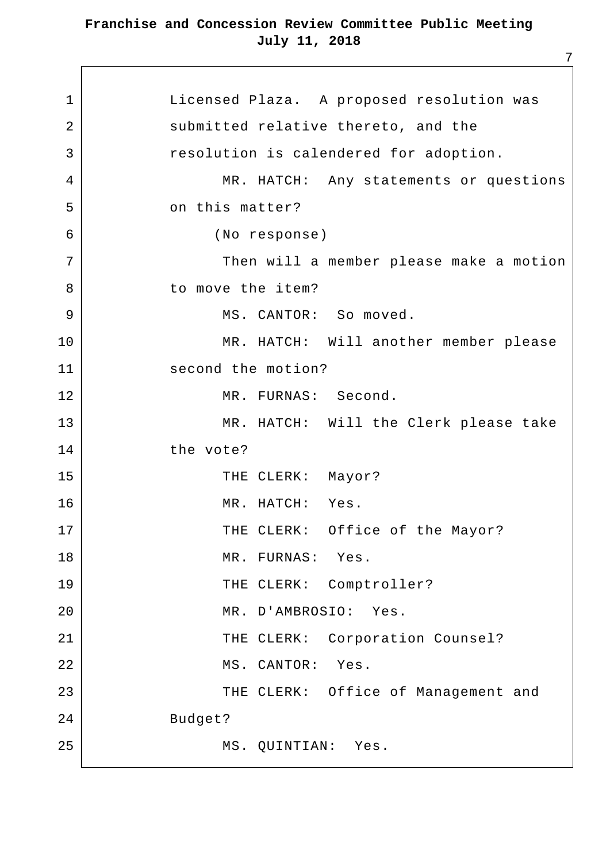1 | Licensed Plaza. A proposed resolution was 2 submitted relative thereto, and the 3 resolution is calendered for adoption. 4 | MR. HATCH: Any statements or questions 5 on this matter? 6 (No response) 7 | Then will a member please make a motion 8 bo move the item? 9 | MS. CANTOR: So moved. 10 MR. HATCH: Will another member please 11 second the motion? 12 MR. FURNAS: Second. 13 | MR. HATCH: Will the Clerk please take 14 the vote? 15 THE CLERK: Mayor? 16 MR. HATCH: Yes. 17 | THE CLERK: Office of the Mayor? 18 | MR. FURNAS: Yes. 19 THE CLERK: Comptroller? 20 MR. D'AMBROSIO: Yes. 21 | THE CLERK: Corporation Counsel? 22 MS. CANTOR: Yes. 23 | THE CLERK: Office of Management and 24 Budget? 25 MS. OUINTIAN: Yes.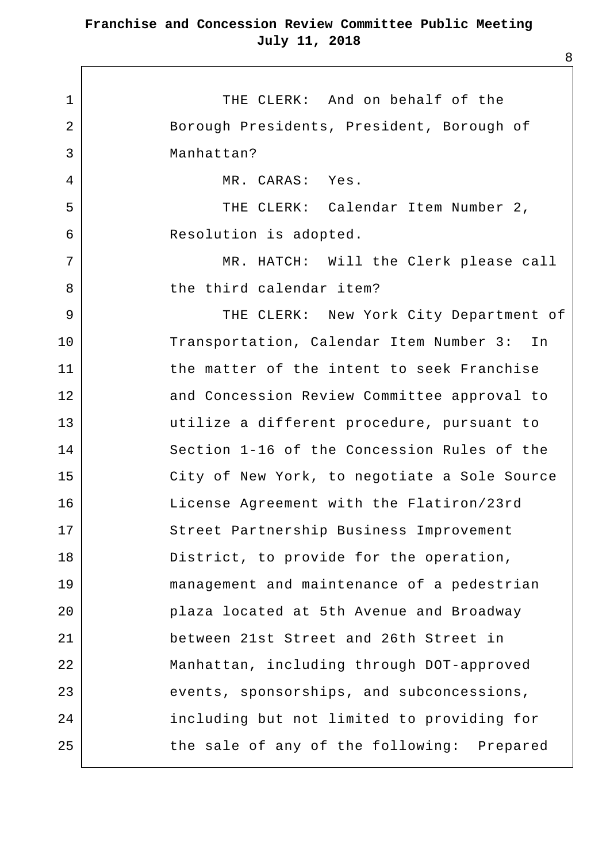1 THE CLERK: And on behalf of the 2 Borough Presidents, President, Borough of 3 Manhattan? 4 MR. CARAS: Yes. 5 THE CLERK: Calendar Item Number 2, 6 Resolution is adopted. 7 | MR. HATCH: Will the Clerk please call 8 b the third calendar item? 9 | THE CLERK: New York City Department of 10 Transportation, Calendar Item Number 3: In 11 the matter of the intent to seek Franchise 12 and Concession Review Committee approval to 13 utilize a different procedure, pursuant to 14 Section 1-16 of the Concession Rules of the 15 | City of New York, to negotiate a Sole Source 16 License Agreement with the Flatiron/23rd 17 Street Partnership Business Improvement 18 District, to provide for the operation, 19 management and maintenance of a pedestrian 20 plaza located at 5th Avenue and Broadway 21 between 21st Street and 26th Street in 22 Manhattan, including through DOT-approved 23 events, sponsorships, and subconcessions, 24 including but not limited to providing for 25 the sale of any of the following: Prepared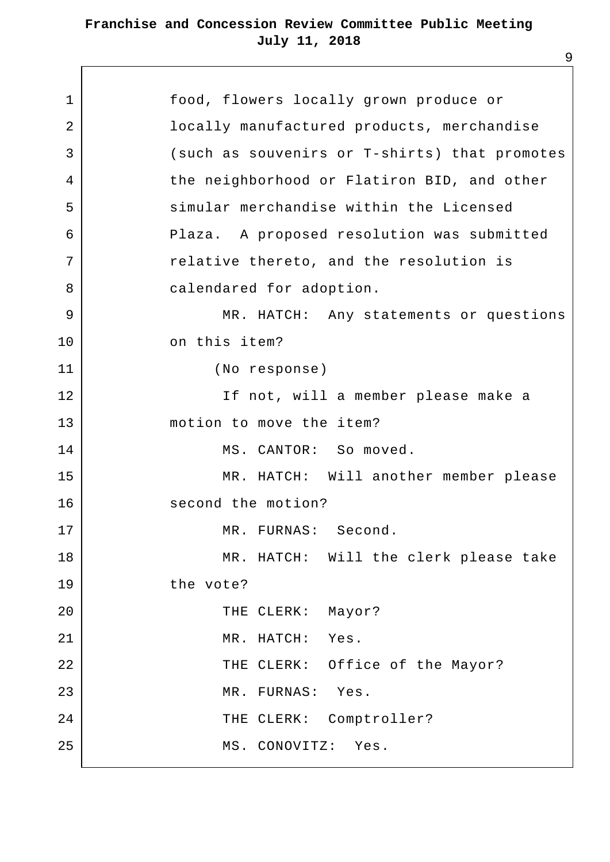| $\mathbf 1$ | food, flowers locally grown produce or        |
|-------------|-----------------------------------------------|
| 2           | locally manufactured products, merchandise    |
| 3           | (such as souvenirs or T-shirts) that promotes |
| 4           | the neighborhood or Flatiron BID, and other   |
| 5           | simular merchandise within the Licensed       |
| 6           | Plaza. A proposed resolution was submitted    |
| 7           | relative thereto, and the resolution is       |
| 8           | calendared for adoption.                      |
| 9           | MR. HATCH: Any statements or questions        |
| 10          | on this item?                                 |
| 11          | (No response)                                 |
| 12          | If not, will a member please make a           |
| 13          | motion to move the item?                      |
| 14          | MS. CANTOR: So moved.                         |
| 15          | MR. HATCH: Will another member please         |
| 16          | second the motion?                            |
| 17          | MR. FURNAS: Second.                           |
| 18          | MR. HATCH: Will the clerk please take         |
| 19          | the vote?                                     |
| 20          | THE CLERK:<br>Mayor?                          |
| 21          | MR. HATCH: Yes.                               |
| 22          | THE CLERK: Office of the Mayor?               |
| 23          | MR. FURNAS: Yes.                              |
| 24          | THE CLERK: Comptroller?                       |
| 25          | MS. CONOVITZ:<br>Yes.                         |
|             |                                               |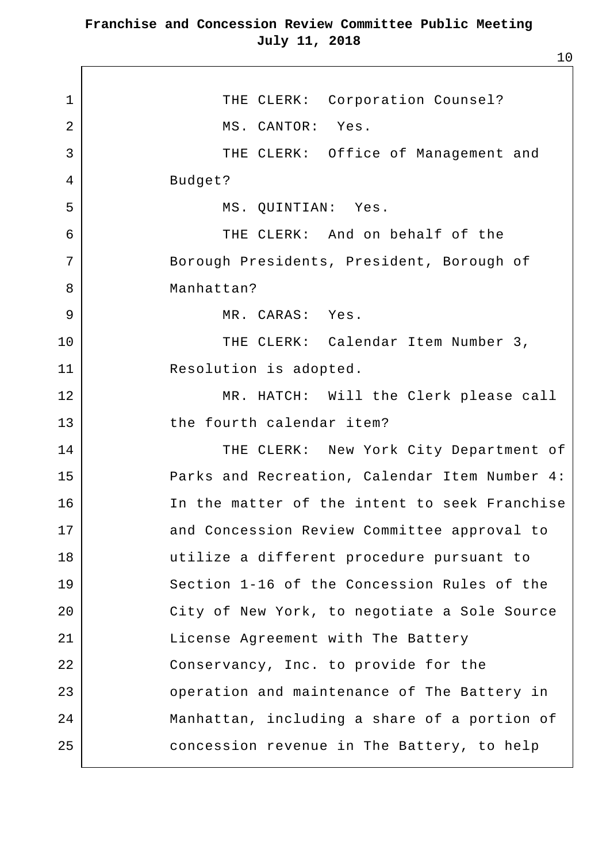1 | THE CLERK: Corporation Counsel? 2 MS. CANTOR: Yes. 3 | THE CLERK: Office of Management and 4 Budget? 5 MS. OUINTIAN: Yes. 6 THE CLERK: And on behalf of the 7 Borough Presidents, President, Borough of 8 Manhattan? 9 MR. CARAS: Yes. 10 THE CLERK: Calendar Item Number 3, 11 Resolution is adopted. 12 MR. HATCH: Will the Clerk please call 13 the fourth calendar item? 14 | THE CLERK: New York City Department of 15 Parks and Recreation, Calendar Item Number 4: 16 In the matter of the intent to seek Franchise 17 and Concession Review Committee approval to 18 utilize a different procedure pursuant to 19 Section 1-16 of the Concession Rules of the 20 City of New York, to negotiate a Sole Source 21 | License Agreement with The Battery 22 Conservancy, Inc. to provide for the 23 **Operation** and maintenance of The Battery in 24 Manhattan, including a share of a portion of 25 concession revenue in The Battery, to help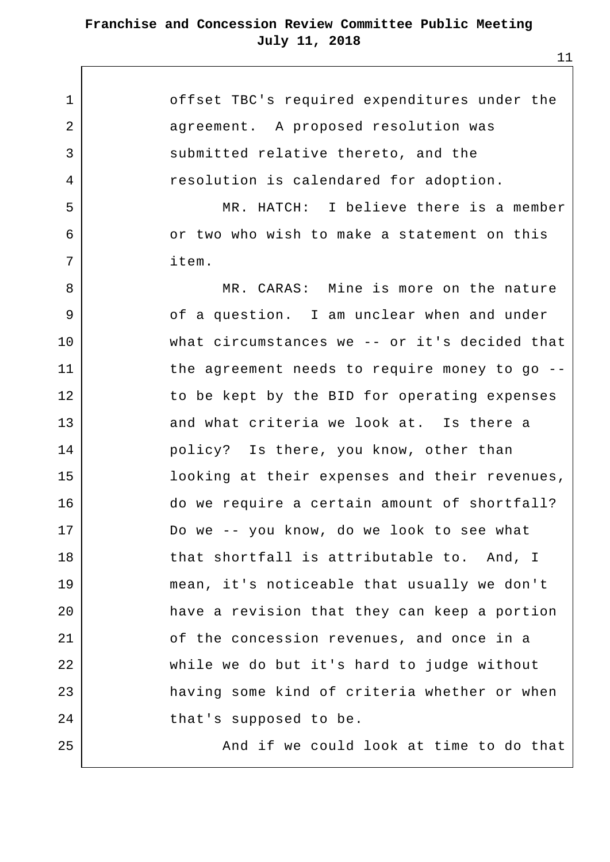1 offset TBC's required expenditures under the 2 agreement. A proposed resolution was 3 submitted relative thereto, and the 4 | Tesolution is calendared for adoption. 5 | MR. HATCH: I believe there is a member 6 or two who wish to make a statement on this 7 item. 8 MR. CARAS: Mine is more on the nature 9 | Constituted Controller Constructed Union Constituted Union Controller Superior Constant Constant Oriented V 10 what circumstances we -- or it's decided that 11 the agreement needs to require money to go --12 to be kept by the BID for operating expenses 13 and what criteria we look at. Is there a 14 policy? Is there, you know, other than 15 looking at their expenses and their revenues, 16 do we require a certain amount of shortfall? 17 Do we -- you know, do we look to see what  $18$  that shortfall is attributable to. And, I 19 mean, it's noticeable that usually we don't 20 have a revision that they can keep a portion 21 of the concession revenues, and once in a 22 while we do but it's hard to judge without 23 having some kind of criteria whether or when 24 that's supposed to be.  $25$   $\vert$  and if we could look at time to do that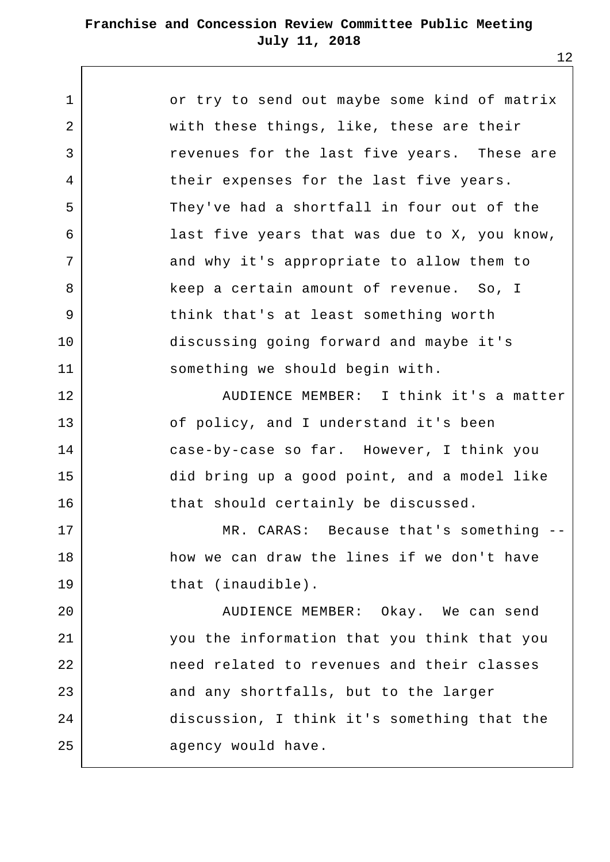| or try to send out maybe some kind of matrix |
|----------------------------------------------|
| with these things, like, these are their     |
| revenues for the last five years. These are  |
| their expenses for the last five years.      |
| They've had a shortfall in four out of the   |
| last five years that was due to X, you know, |
| and why it's appropriate to allow them to    |
| keep a certain amount of revenue. So, I      |
| think that's at least something worth        |
| discussing going forward and maybe it's      |
| something we should begin with.              |
| AUDIENCE MEMBER: I think it's a matter       |
| of policy, and I understand it's been        |
| case-by-case so far. However, I think you    |
| did bring up a good point, and a model like  |
| that should certainly be discussed.          |
| MR. CARAS: Because that's something --       |
| how we can draw the lines if we don't have   |
| that (inaudible).                            |
| AUDIENCE MEMBER: Okay. We can send           |
| you the information that you think that you  |
| need related to revenues and their classes   |
| and any shortfalls, but to the larger        |
| discussion, I think it's something that the  |
| agency would have.                           |
|                                              |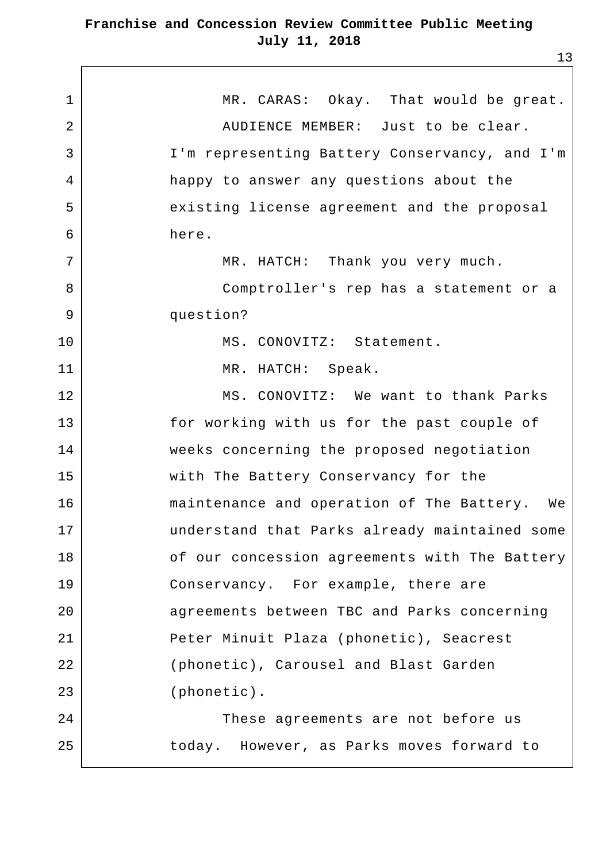1 MR. CARAS: Okay. That would be great. 2 AUDIENCE MEMBER: Just to be clear. 3 I'm representing Battery Conservancy, and I'm 4 happy to answer any questions about the 5 | existing license agreement and the proposal 6 here. 7 | MR. HATCH: Thank you very much. 8 Comptroller's rep has a statement or a 9 question? 10 | MS. CONOVITZ: Statement. 11 MR. HATCH: Speak. 12 MS. CONOVITZ: We want to thank Parks 13 for working with us for the past couple of 14 weeks concerning the proposed negotiation 15 with The Battery Conservancy for the 16 maintenance and operation of The Battery. We 17 understand that Parks already maintained some 18 | Concession agreements with The Battery 19 Conservancy. For example, there are 20 agreements between TBC and Parks concerning 21 | Peter Minuit Plaza (phonetic), Seacrest 22 (phonetic), Carousel and Blast Garden 23 (phonetic). 24 These agreements are not before us 25 today. However, as Parks moves forward to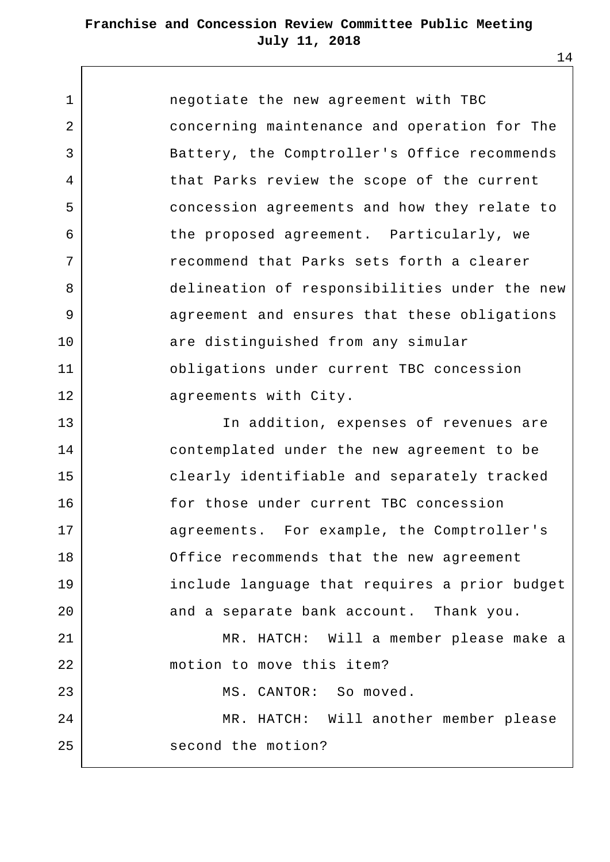$\overline{1}$ 

| $\mathbf{1}$   | negotiate the new agreement with TBC          |
|----------------|-----------------------------------------------|
| 2              | concerning maintenance and operation for The  |
| 3              | Battery, the Comptroller's Office recommends  |
| 4              | that Parks review the scope of the current    |
| 5              | concession agreements and how they relate to  |
| 6              | the proposed agreement. Particularly, we      |
| $7\phantom{.}$ | recommend that Parks sets forth a clearer     |
| 8              | delineation of responsibilities under the new |
| 9              | agreement and ensures that these obligations  |
| 10             | are distinguished from any simular            |
| 11             | obligations under current TBC concession      |
| 12             | agreements with City.                         |
| 13             | In addition, expenses of revenues are         |
| 14             | contemplated under the new agreement to be    |
| 15             | clearly identifiable and separately tracked   |
| 16             | for those under current TBC concession        |
| 17             | agreements. For example, the Comptroller's    |
| 18             | Office recommends that the new agreement      |
| 19             | include language that requires a prior budget |
| 20             | and a separate bank account. Thank you.       |
| 21             | MR. HATCH: Will a member please make a        |
| 22             | motion to move this item?                     |
| 23             | MS. CANTOR: So moved.                         |
| 24             | MR. HATCH: Will another member please         |
| 25             | second the motion?                            |
|                |                                               |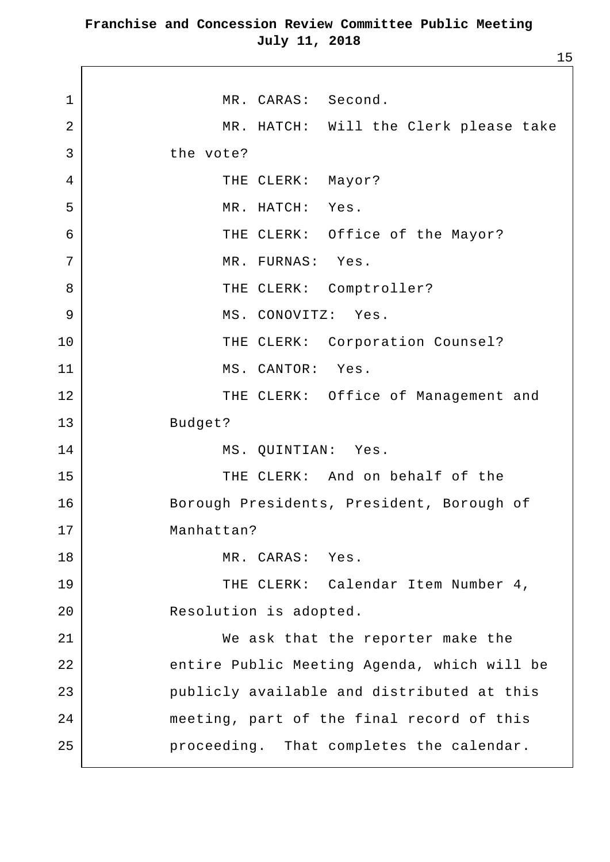1 | MR. CARAS: Second. 2 | MR. HATCH: Will the Clerk please take 3 the vote? 4 THE CLERK: Mayor? 5 MR. HATCH: Yes. 6 | THE CLERK: Office of the Mayor? 7 | MR. FURNAS: Yes. 8 | THE CLERK: Comptroller? 9 | MS. CONOVITZ: Yes. 10 | THE CLERK: Corporation Counsel? 11 MS. CANTOR: Yes. 12 | THE CLERK: Office of Management and 13 Budget? 14 | MS. QUINTIAN: Yes. 15 THE CLERK: And on behalf of the 16 Borough Presidents, President, Borough of 17 Manhattan? 18 MR. CARAS: Yes. 19 | THE CLERK: Calendar Item Number 4, 20 Resolution is adopted. 21 We ask that the reporter make the 22 entire Public Meeting Agenda, which will be 23 publicly available and distributed at this 24 meeting, part of the final record of this 25 proceeding. That completes the calendar.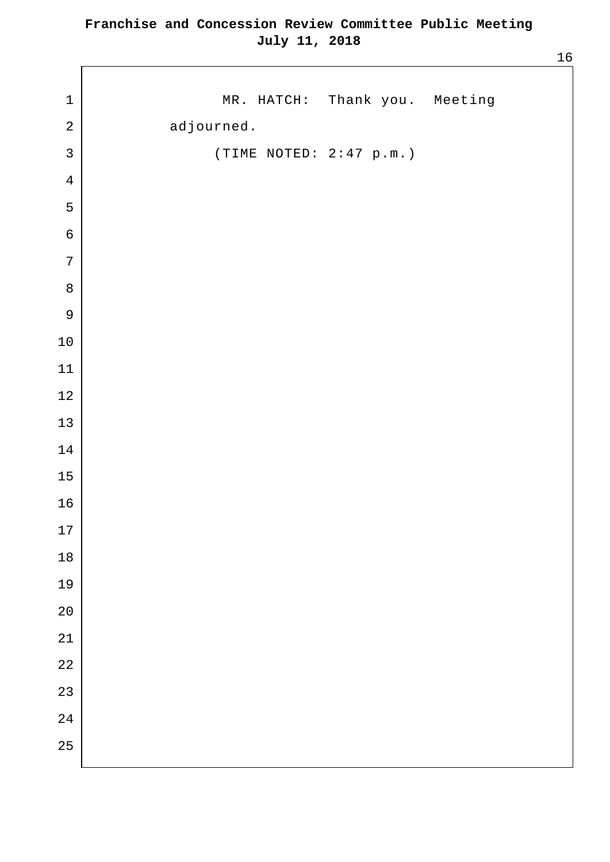| $\mathbf 1$      | MR. HATCH: Thank you. Meeting |  |
|------------------|-------------------------------|--|
| $\sqrt{2}$       | adjourned.                    |  |
| $\mathsf{3}$     | (TIME NOTED: 2:47 p.m.)       |  |
| $\bf 4$          |                               |  |
| $\mathsf S$      |                               |  |
| $\boldsymbol{6}$ |                               |  |
| $\sqrt{ }$       |                               |  |
| $\,8\,$          |                               |  |
| $\mathsf 9$      |                               |  |
| $1\,0$           |                               |  |
| $11\,$           |                               |  |
| $12\,$           |                               |  |
| $13\,$           |                               |  |
| $1\,4$           |                               |  |
| $15\,$           |                               |  |
| $16\,$           |                               |  |
| 17               |                               |  |
| $18\,$           |                               |  |
| 19               |                               |  |
| $20$             |                               |  |
| 21               |                               |  |
| $2\sqrt{2}$      |                               |  |
| 23               |                               |  |
| 24               |                               |  |
| 25               |                               |  |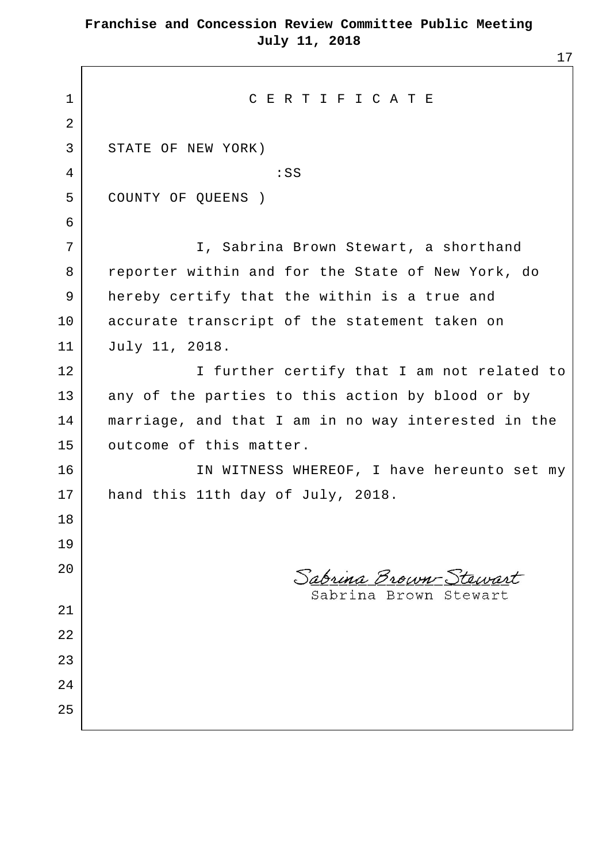| $\mathbf{1}$ | CERTIFICATE                                         |
|--------------|-----------------------------------------------------|
| 2            |                                                     |
| 3            | STATE OF NEW YORK)                                  |
| 4            | :SS                                                 |
| 5            | COUNTY OF QUEENS )                                  |
| 6            |                                                     |
| 7            | I, Sabrina Brown Stewart, a shorthand               |
| 8            | reporter within and for the State of New York, do   |
| 9            | hereby certify that the within is a true and        |
| 10           | accurate transcript of the statement taken on       |
| 11           | July 11, 2018.                                      |
| 12           | I further certify that I am not related to          |
| 13           | any of the parties to this action by blood or by    |
| 14           | marriage, and that I am in no way interested in the |
| 15           | outcome of this matter.                             |
| 16           | IN WITNESS WHEREOF, I have hereunto set my          |
| 17           | hand this 11th day of July, 2018.                   |
| 18           |                                                     |
| 19           |                                                     |
| 20           | Sabrina Brown-Stewart                               |
|              | Sabrina Brown Stewart                               |
| 21           |                                                     |
| 22           |                                                     |
| 23           |                                                     |
| 24           |                                                     |
| 25           |                                                     |
|              |                                                     |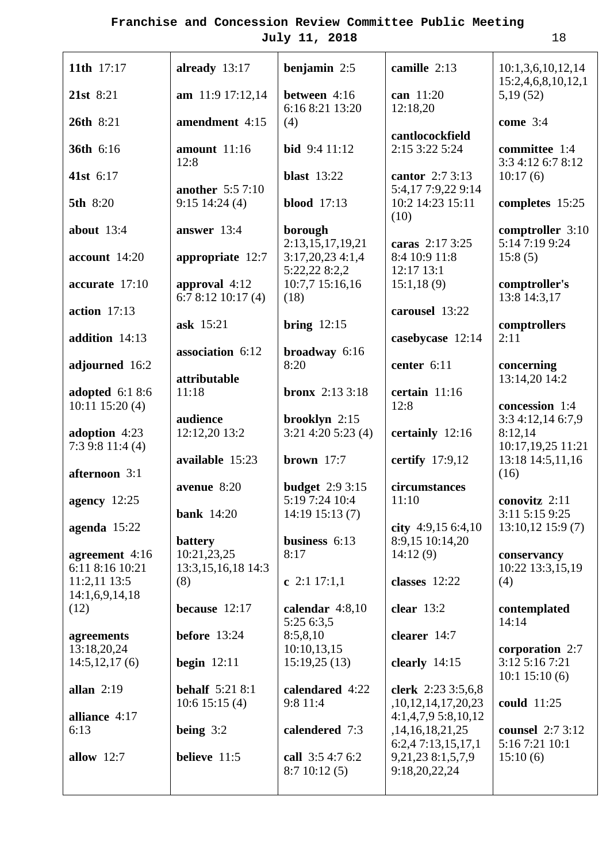**because** 12:17

**before** 13:24

**begin** 12:11

**being** 3:2

**believe** 11:5

**behalf** 5:21 8:1 10:6 15:15 (4)

(8)

**11th** 17:17

**21st** 8:21

**26th** 8:21

**36th** 6:16

**41st** 6:17

**5th** 8:20

**about** 13:4

**account** 14:20

**accurate** 17:10

**addition** 14:13

**adjourned** 16:2

**adopted** 6:1 8:6 10:11 15:20 (4)

**adoption** 4:23 7:3 9:8 11:4 (4)

**afternoon** 3:1

**agency** 12:25

**agenda** 15:22

(12)

**agreements** 13:18,20,24 14:5,12,17 (6)

**allan** 2:19

6:13

**alliance** 4:17

**allow** 12:7

**agreement** 4:16 6:11 8:16 10:21 11:2,11 13:5 14:1,6,9,14,18

**action** 17:13

| July 11, 2018                                | 18                                       |                                     |                                         |
|----------------------------------------------|------------------------------------------|-------------------------------------|-----------------------------------------|
| already 13:17                                | benjamin $2:5$                           | camille 2:13                        | 10:1,3,6,10,12,14<br>15:2,4,6,8,10,12,1 |
| am 11:9 17:12,14                             | between 4:16<br>6:16 8:21 13:20          | can 11:20<br>12:18,20               | 5,19(52)                                |
| amendment 4:15                               | (4)                                      | cantlocockfield                     | come 3:4                                |
| amount $11:16$<br>12:8                       | <b>bid</b> $9:411:12$                    | 2:15 3:22 5:24                      | committee 1:4<br>3:3 4:12 6:7 8:12      |
| <b>another</b> 5:5 7:10                      | <b>blast</b> 13:22                       | cantor 2:7 3:13<br>5:4,177:9,229:14 | 10:17(6)                                |
| $9:15$ 14:24 (4)                             | <b>blood</b> 17:13                       | 10:2 14:23 15:11<br>(10)            | completes 15:25                         |
| answer 13:4                                  | borough<br>2:13,15,17,19,21              | caras 2:17 3:25                     | comptroller 3:10<br>5:14 7:19 9:24      |
| appropriate $12:7$                           | 3:17,20,234:1,4<br>5:22,22 8:2,2         | 8:4 10:9 11:8<br>12:17 13:1         | 15:8(5)                                 |
| approval $4:12$<br>6:78:1210:17(4)           | 10:7,7 15:16,16<br>(18)                  | 15:1,18(9)                          | comptroller's<br>13:8 14:3,17           |
| ask 15:21                                    | bring $12:15$                            | carousel 13:22                      | comptrollers                            |
| association 6:12                             | broadway $6:16$                          | casebycase 12:14                    | 2:11                                    |
| attributable                                 | 8:20                                     | center 6:11                         | concerning<br>13:14,20 14:2             |
| 11:18                                        | <b>bronx</b> $2:133:18$                  | certain 11:16<br>12:8               | concession 1:4                          |
| audience<br>12:12,20 13:2                    | $b$ rooklyn 2:15<br>$3:21$ 4:20 5:23 (4) | certainly 12:16                     | 3:3 4:12,14 6:7,9<br>8:12,14            |
| available 15:23                              |                                          |                                     | 10:17,19,25 11:21                       |
|                                              | brown $17:7$                             | certify $17:9,12$                   | 13:18 14:5,11,16<br>(16)                |
| avenue $8:20$                                | <b>budget</b> 2:9 3:15<br>5:19 7:24 10:4 | circumstances<br>11:10              | conovitz 2:11                           |
| bank $14:20$                                 | $14:19$ 15:13 (7)                        | city $4:9,156:4,10$                 | 3:11 5:15 9:25<br>$13:10,12$ 15:9 (7)   |
| battery<br>10:21,23,25<br>13:3,15,16,18 14:3 | business $6:13$<br>8:17                  | 8:9,15 10:14,20<br>14:12(9)         | conservancy<br>10:22 13:3,15,19         |

**c** 2:1 17:1,1

**calendar** 4:8,10 5:25 6:3,5 8:5,8,10 10:10,13,15 15:19,25 (13)

**calendared** 4:22 9:8 11:4

**calendered** 7:3 **call** 3:5 4:7 6:2 8:7 10:12 (5)

**classes** 12:22

**clear** 13:2

**clearer** 14:7

**clearly** 14:15

**clerk** 2:23 3:5,6,8 ,10,12,14,17,20,23 4:1,4,7,9 5:8,10,12 ,14,16,18,21,25 6:2,4 7:13,15,17,1 9,21,23 8:1,5,7,9 9:18,20,22,24

10:22 13:3,15,19 (4)

**contemplated** 14:14

**corporation** 2:7 3:12 5:16 7:21 10:1 15:10 (6)

**could** 11:25

**counsel** 2:7 3:12 5:16 7:21 10:1 15:10 (6)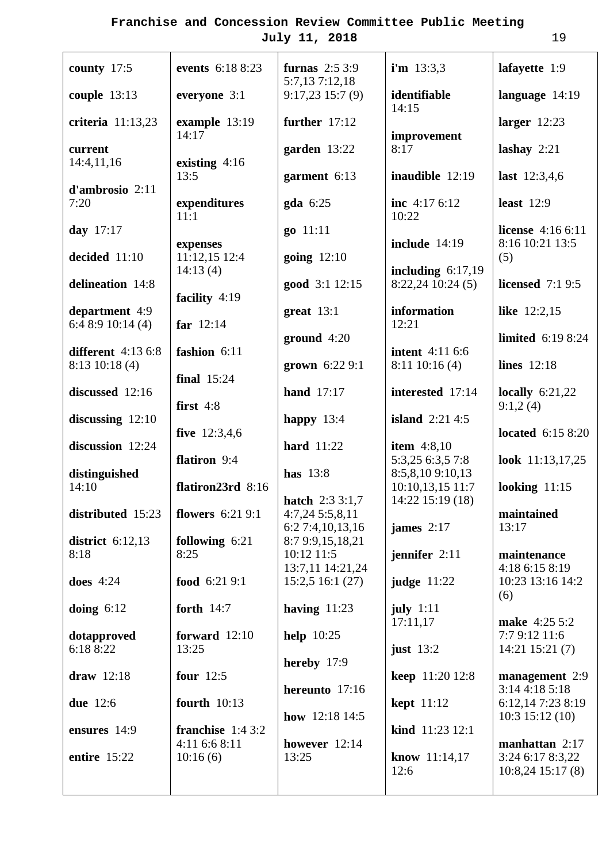| county 17:5                             | events 6:18 8:23                    | furnas $2:53:9$<br>5:7,137:12,18             | $i'm$ 13:3,3                             | lafayette 1:9                                |
|-----------------------------------------|-------------------------------------|----------------------------------------------|------------------------------------------|----------------------------------------------|
| couple $13:13$                          | everyone 3:1                        | $9:17,23$ 15:7 (9)                           | identifiable<br>14:15                    | language $14:19$                             |
| criteria 11:13,23                       | example 13:19<br>14:17              | further 17:12                                | improvement                              | larger $12:23$                               |
| current<br>14:4,11,16                   | existing $4:16$                     | garden 13:22                                 | 8:17                                     | lashay $2:21$                                |
| d'ambrosio 2:11                         | 13:5                                | garment 6:13                                 | inaudible 12:19                          | last $12:3,4,6$                              |
| 7:20                                    | expenditures<br>11:1                | gda 6:25                                     | inc $4:176:12$<br>10:22                  | least $12:9$                                 |
| day 17:17                               | expenses                            | go 11:11                                     | <b>include</b> 14:19                     | <b>license</b> $4:166:11$<br>8:16 10:21 13:5 |
| decided 11:10                           | 11:12,15 12:4<br>14:13(4)           | going $12:10$                                | including $6:17,19$                      | (5)                                          |
| delineation 14:8                        | facility $4:19$                     | good 3:1 12:15                               | $8:22,24$ 10:24 (5)                      | <b>licensed</b> 7:1 9:5                      |
| department 4:9<br>6:48:910:14(4)        | far $12:14$                         | great $13:1$                                 | information<br>12:21                     | like 12:2,15                                 |
| different 4:13 6:8                      | fashion 6:11                        | ground $4:20$                                | <b>intent</b> 4:11 6:6                   | limited 6:19 8:24                            |
| $8:13$ 10:18 (4)                        | <b>final</b> 15:24                  | grown $6:229:1$                              | 8:11 10:16 (4)                           | <b>lines</b> 12:18                           |
| discussed 12:16                         | first $4:8$                         | <b>hand</b> 17:17                            | interested 17:14                         | locally $6:21,22$<br>9:1,2(4)                |
| discussing $12:10$                      | five $12:3,4,6$                     | happy 13:4                                   | island $2:214:5$                         | located $6:158:20$                           |
| discussion 12:24                        | flatiron 9:4                        | <b>hard</b> 11:22                            | <b>item</b> $4:8,10$<br>5:3,25 6:3,5 7:8 | look $11:13,17,25$                           |
| distinguished<br>14:10                  | flatiron23rd 8:16                   | has 13:8                                     | 8:5,8,109:10,13<br>10:10,13,15 11:7      | looking $11:15$                              |
| distributed $15:23$   flowers $6:219:1$ |                                     | <b>hatch</b> $2:33:1,7$<br>$4:7,24$ 5:5,8,11 | 14:22 15:19 (18)                         | maintained                                   |
| district $6:12,13$                      | following 6:21                      | 6:27:4,10,13,16<br>8:7 9:9,15,18,21          | james $2:17$                             | 13:17                                        |
| 8:18                                    | 8:25                                | 10:12 11:5<br>13:7,11 14:21,24               | jennifer $2:11$                          | maintenance<br>4:18 6:15 8:19                |
| <b>does</b> 4:24                        | food 6:21 9:1                       | 15:2,516:1(27)                               | <b>judge</b> 11:22                       | 10:23 13:16 14:2<br>(6)                      |
| doing $6:12$                            | forth $14:7$<br>forward $12:10$     | having $11:23$                               | july $1:11$<br>17:11,17                  | make 4:25 5:2<br>7:7 9:12 11:6               |
| dotapproved<br>6:18 8:22                | 13:25                               | help $10:25$<br>hereby $17:9$                | just $13:2$                              | $14:21$ $15:21$ $(7)$                        |
| draw 12:18                              | four $12:5$                         | hereunto 17:16                               | <b>keep</b> 11:20 12:8                   | management 2:9<br>3:144:185:18               |
| due 12:6                                | <b>fourth</b> 10:13                 | how $12:18$ 14:5                             | <b>kept</b> 11:12                        | 6:12,14 7:23 8:19<br>$10:3$ 15:12 (10)       |
| ensures 14:9                            | franchise $1:43:2$<br>4:11 6:6 8:11 | however $12:14$                              | kind 11:23 12:1                          | manhattan $2:17$                             |
| entire 15:22                            | 10:16(6)                            | 13:25                                        | know 11:14,17<br>12:6                    | 3:24 6:17 8:3,22<br>$10:8,24$ 15:17 (8)      |
|                                         |                                     |                                              |                                          |                                              |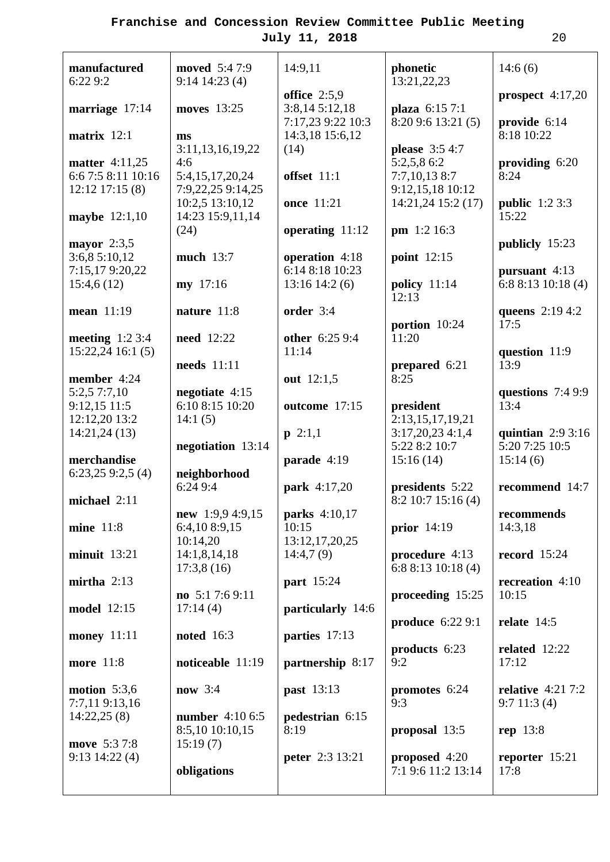| manufactured<br>6:22 9:2                    | <b>moved</b> 5:47:9<br>$9:14$ 14:23 (4) | 14:9,11                              | phonetic<br>13:21,22,23           | 14:6(6)                              |
|---------------------------------------------|-----------------------------------------|--------------------------------------|-----------------------------------|--------------------------------------|
| marriage 17:14                              | moves 13:25                             | office $2:5,9$<br>3:8,145:12,18      | plaza 6:15 7:1                    | prospect $4:17,20$                   |
| matrix $12:1$                               | ms                                      | 7:17,23 9:22 10:3<br>14:3,18 15:6,12 | 8:209:613:21(5)                   | provide 6:14<br>8:18 10:22           |
|                                             | 3:11,13,16,19,22                        | (14)                                 | <b>please</b> 3:5 4:7             |                                      |
| <b>matter</b> 4:11,25<br>6:6 7:5 8:11 10:16 | 4:6<br>5:4,15,17,20,24                  | offset 11:1                          | 5:2,5,8 6:2<br>7:7,10,138:7       | providing 6:20<br>8:24               |
| $12:12$ 17:15 (8)                           | 7:9,22,25 9:14,25                       | <b>once</b> 11:21                    | 9:12,15,18 10:12                  |                                      |
| maybe 12:1,10                               | 10:2,5 13:10,12<br>14:23 15:9,11,14     |                                      | 14:21,24 15:2 (17)                | <b>public</b> $1:23:3$<br>15:22      |
| mayor $2:3,5$                               | (24)                                    | operating 11:12                      | pm 1:2 16:3                       | publicly 15:23                       |
| 3:6,85:10,12                                | much 13:7                               | operation 4:18                       | point $12:15$                     |                                      |
| 7:15,179:20,22<br>15:4,6(12)                | my 17:16                                | 6:14 8:18 10:23<br>$13:16$ 14:2 (6)  | policy 11:14                      | pursuant $4:13$<br>6:88:1310:18(4)   |
|                                             |                                         |                                      | 12:13                             |                                      |
| mean 11:19                                  | nature 11:8                             | order 3:4                            | portion 10:24                     | queens 2:19 4:2<br>17:5              |
| meeting $1:23:4$                            | <b>need</b> 12:22                       | other 6:25 9:4                       | 11:20                             |                                      |
| $15:22,24$ 16:1 (5)                         | needs 11:11                             | 11:14                                | prepared 6:21                     | question 11:9<br>13:9                |
| member 4:24                                 |                                         | out 12:1,5                           | 8:25                              |                                      |
| 5:2,5 7:7,10<br>9:12,1511:5                 | negotiate $4:15$<br>6:10 8:15 10:20     | outcome 17:15                        | president                         | questions 7:4 9:9<br>13:4            |
| 12:12,20 13:2                               | 14:1(5)                                 |                                      | 2:13,15,17,19,21                  |                                      |
| 14:21,24(13)                                | negotiation 13:14                       | $p \; 2:1,1$                         | 3:17,20,234:1,4<br>5:22 8:2 10:7  | quintian $2:93:16$<br>5:20 7:25 10:5 |
| merchandise                                 |                                         | parade 4:19                          | 15:16(14)                         | 15:14(6)                             |
| 6:23,259:2,5(4)                             | neighborhood<br>6:249:4                 | park 4:17,20                         | presidents 5:22                   | recommend 14:7                       |
| michael 2:11                                |                                         |                                      | $8:2$ 10:7 15:16 (4)              |                                      |
| <b>mine</b> 11:8                            | new $1:9,94:9,15$<br>6:4,10 8:9,15      | <b>parks</b> 4:10,17<br>10:15        | prior $14:19$                     | recommends<br>14:3,18                |
|                                             | 10:14,20                                | 13:12, 17, 20, 25                    |                                   |                                      |
| $minuit$ 13:21                              | 14:1,8,14,18<br>17:3,8(16)              | 14:4,7(9)                            | procedure 4:13<br>6:88:1310:18(4) | record $15:24$                       |
| mirtha $2:13$                               | no $5:17:69:11$                         | part 15:24                           | proceeding 15:25                  | recreation 4:10<br>10:15             |
| model 12:15                                 | 17:14(4)                                | particularly 14:6                    |                                   |                                      |
| <b>money</b> 11:11                          | <b>noted</b> 16:3                       | parties 17:13                        | produce 6:22 9:1                  | relate $14:5$                        |
|                                             |                                         |                                      | products 6:23                     | related 12:22                        |
| more 11:8                                   | noticeable 11:19                        | partnership 8:17                     | 9:2                               | 17:12                                |
| motion $5:3,6$<br>7:7,119:13,16             | now 3:4                                 | <b>past</b> 13:13                    | promotes 6:24<br>9:3              | relative $4:217:2$<br>9:711:3(4)     |
| 14:22,25(8)                                 | <b>number</b> 4:10 6:5                  | pedestrian 6:15                      |                                   |                                      |
| move 5:37:8                                 | 8:5,10 10:10,15<br>15:19(7)             | 8:19                                 | proposal 13:5                     | rep 13:8                             |
| $9:13$ 14:22 (4)                            |                                         | <b>peter</b> 2:3 13:21               | proposed $4:20$                   | reporter $15:21$                     |
|                                             | obligations                             |                                      | 7:1 9:6 11:2 13:14                | 17:8                                 |
|                                             |                                         |                                      |                                   |                                      |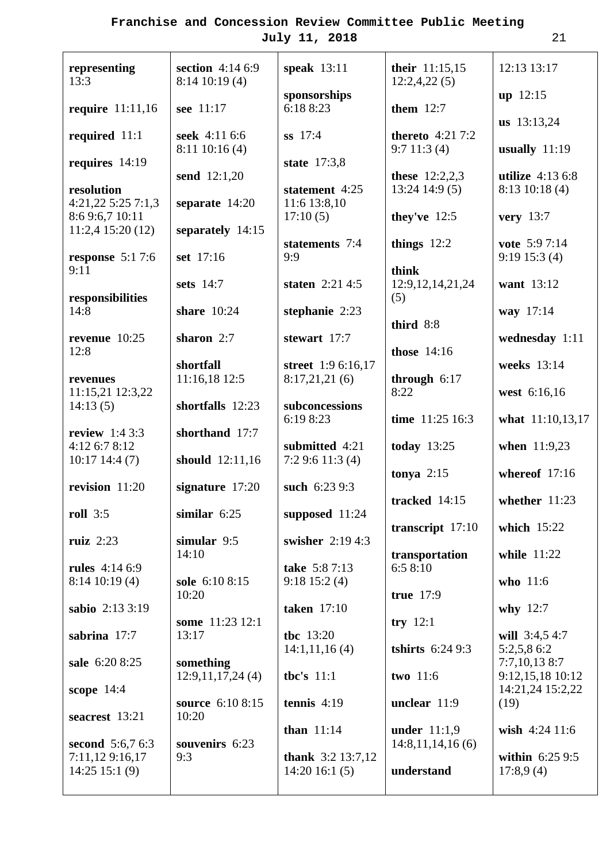| representing<br>13:3                                    | section 4:14 6:9<br>$8:14$ 10:19 (4) | speak $13:11$                              | their 11:15,15<br>12:2,4,22(5)       | 12:13 13:17                           |
|---------------------------------------------------------|--------------------------------------|--------------------------------------------|--------------------------------------|---------------------------------------|
| <b>require</b> 11:11,16                                 | see 11:17                            | sponsorships<br>6:18 8:23                  | them $12:7$                          | $up$ 12:15                            |
|                                                         |                                      |                                            |                                      | us 13:13,24                           |
| required $11:1$                                         | seek 4:11 6:6<br>$8:11$ 10:16 (4)    | ss 17:4                                    | thereto $4:217:2$<br>9:711:3(4)      | usually $11:19$                       |
| requires $14:19$                                        |                                      | state 17:3,8                               |                                      |                                       |
| resolution<br>4:21,225:257:1,3                          | send 12:1,20<br>separate 14:20       | statement 4:25<br>11:6 13:8,10             | these $12:2,2,3$<br>$13:24$ 14:9 (5) | utilize $4:136:8$<br>$8:13$ 10:18 (4) |
| 8:6 9:6,7 10:11<br>$11:2,4$ 15:20 (12)                  | separately 14:15                     | 17:10(5)                                   | they've $12:5$                       | very $13:7$                           |
| response $5:17:6$                                       | set 17:16                            | statements 7:4<br>9:9                      | things $12:2$                        | vote 5:97:14<br>$9:19$ 15:3 (4)       |
| 9:11                                                    |                                      |                                            | think                                |                                       |
| responsibilities                                        | sets 14:7                            | staten $2:21\,4:5$                         | 12:9, 12, 14, 21, 24<br>(5)          | want 13:12                            |
| 14:8                                                    | share 10:24                          | stephanie $2:23$                           | third 8:8                            | way 17:14                             |
| revenue $10:25$                                         | sharon 2:7                           | stewart 17:7                               |                                      | wednesday 1:11                        |
| 12:8                                                    | shortfall                            | street 1:9 6:16,17                         | <b>those</b> 14:16                   | weeks 13:14                           |
| revenues<br>11:15,21 12:3,22                            | 11:16,18 12:5                        | 8:17,21,21(6)                              | through $6:17$<br>8:22               | west 6:16,16                          |
| 14:13(5)                                                | shortfalls 12:23                     | subconcessions<br>6:19 8:23                | time 11:25 16:3                      | what 11:10,13,17                      |
| review $1:43:3$                                         | shorthand 17:7                       |                                            |                                      |                                       |
| 4:12 6:7 8:12<br>$10:17$ 14:4 (7)                       | should 12:11,16                      | submitted 4:21<br>7:29:611:3(4)            | today $13:25$                        | when 11:9,23                          |
| revision 11:20                                          | signature $17:20$                    | such 6:23 9:3                              | tonya $2:15$                         | whereof 17:16                         |
| <b>roll</b> 3:5                                         | similar $6:25$                       | supposed $11:24$                           | tracked 14:15                        | whether 11:23                         |
| ruiz $2:23$                                             | simular 9:5                          | swisher 2:19 4:3                           | transcript $17:10$                   | which 15:22                           |
| <b>rules</b> 4:14 6:9                                   | 14:10                                | take 5:87:13                               | transportation<br>6:58:10            | while 11:22                           |
| $8:14$ 10:19 (4)                                        | sole 6:10 8:15                       | $9:18$ 15:2 (4)                            |                                      | who 11:6                              |
| sabio 2:13 3:19                                         | 10:20                                | <b>taken</b> 17:10                         | true 17:9                            | why $12:7$                            |
|                                                         | some 11:23 12:1                      |                                            | try $12:1$                           |                                       |
| sabrina 17:7                                            | 13:17                                | the 13:20<br>14:1,11,16(4)                 | <b>tshirts</b> 6:24 9:3              | will 3:4,5 4:7<br>5:2,5,8 6:2         |
| sale 6:20 8:25                                          | something                            |                                            |                                      | $7:7,10,13$ 8:7                       |
| scope 14:4                                              | 12:9,11,17,24(4)                     | the's $11:1$                               | two 11:6                             | 9:12,15,18 10:12<br>14:21,24 15:2,22  |
|                                                         | source 6:10 8:15                     | tennis $4:19$                              | unclear 11:9                         | (19)                                  |
| seacrest 13:21                                          | 10:20                                | than $11:14$                               | under $11:1,9$                       | wish 4:24 11:6                        |
| second 5:6,7 6:3<br>7:11,12 9:16,17<br>$14:25$ 15:1 (9) | souvenirs 6:23<br>9:3                | <b>thank</b> $3:2$ 13:7,12<br>14:2016:1(5) | 14:8,11,14,16(6)<br>understand       | within $6:259:5$<br>17:8,9(4)         |
|                                                         |                                      |                                            |                                      |                                       |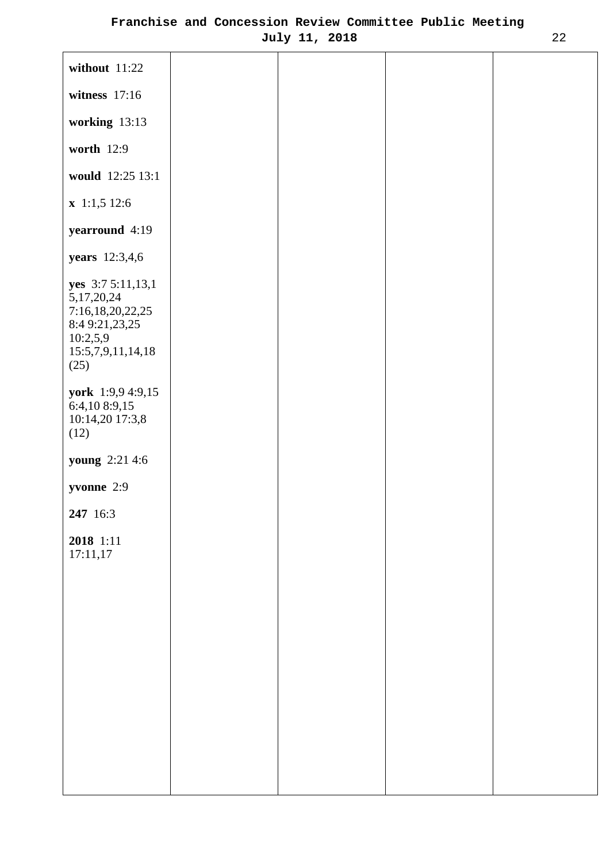| without 11:22                                                                                                     |  |  |
|-------------------------------------------------------------------------------------------------------------------|--|--|
| witness $17:16$                                                                                                   |  |  |
| working 13:13                                                                                                     |  |  |
| worth 12:9                                                                                                        |  |  |
| would 12:25 13:1                                                                                                  |  |  |
| $x$ 1:1,5 12:6                                                                                                    |  |  |
| yearround 4:19                                                                                                    |  |  |
| <b>years</b> 12:3,4,6                                                                                             |  |  |
| yes 3:7 5:11,13,1<br>5, 17, 20, 24<br>7:16,18,20,22,25<br>8:4 9:21,23,25<br>10:2,5,9<br>15:5,7,9,11,14,18<br>(25) |  |  |
| york 1:9,9 4:9,15<br>6:4,10 8:9,15<br>10:14,20 17:3,8<br>(12)                                                     |  |  |
| <b>young</b> 2:21 4:6                                                                                             |  |  |
| yvonne 2:9                                                                                                        |  |  |
| 247 16:3                                                                                                          |  |  |
| 2018 1:11<br>17:11,17                                                                                             |  |  |
|                                                                                                                   |  |  |
|                                                                                                                   |  |  |
|                                                                                                                   |  |  |
|                                                                                                                   |  |  |
|                                                                                                                   |  |  |
|                                                                                                                   |  |  |
|                                                                                                                   |  |  |
|                                                                                                                   |  |  |
|                                                                                                                   |  |  |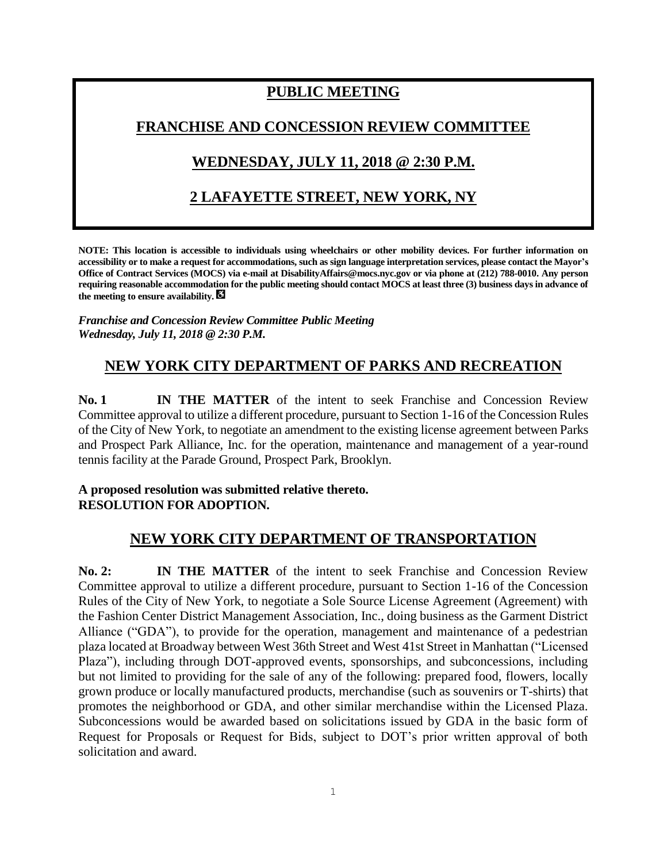# **PUBLIC MEETING**

### **FRANCHISE AND CONCESSION REVIEW COMMITTEE**

# **WEDNESDAY, JULY 11, 2018 @ 2:30 P.M.**

# **2 LAFAYETTE STREET, NEW YORK, NY**

**NOTE: This location is accessible to individuals using wheelchairs or other mobility devices. For further information on accessibility or to make a request for accommodations, such as sign language interpretation services, please contact the Mayor's Office of Contract Services (MOCS) via e-mail at DisabilityAffairs@mocs.nyc.gov or via phone at (212) 788-0010. Any person requiring reasonable accommodation for the public meeting should contact MOCS at least three (3) business days in advance of the meeting to ensure availability.**

*Franchise and Concession Review Committee Public Meeting Wednesday, July 11, 2018 @ 2:30 P.M.*

# **NEW YORK CITY DEPARTMENT OF PARKS AND RECREATION**

**No. 1 IN THE MATTER** of the intent to seek Franchise and Concession Review Committee approval to utilize a different procedure, pursuant to Section 1-16 of the Concession Rules of the City of New York, to negotiate an amendment to the existing license agreement between Parks and Prospect Park Alliance, Inc. for the operation, maintenance and management of a year-round tennis facility at the Parade Ground, Prospect Park, Brooklyn.

#### **A proposed resolution was submitted relative thereto. RESOLUTION FOR ADOPTION.**

### **NEW YORK CITY DEPARTMENT OF TRANSPORTATION**

**No. 2: IN THE MATTER** of the intent to seek Franchise and Concession Review Committee approval to utilize a different procedure, pursuant to Section 1-16 of the Concession Rules of the City of New York, to negotiate a Sole Source License Agreement (Agreement) with the Fashion Center District Management Association, Inc., doing business as the Garment District Alliance ("GDA"), to provide for the operation, management and maintenance of a pedestrian plaza located at Broadway between West 36th Street and West 41st Street in Manhattan ("Licensed Plaza"), including through DOT-approved events, sponsorships, and subconcessions, including but not limited to providing for the sale of any of the following: prepared food, flowers, locally grown produce or locally manufactured products, merchandise (such as souvenirs or T-shirts) that promotes the neighborhood or GDA, and other similar merchandise within the Licensed Plaza. Subconcessions would be awarded based on solicitations issued by GDA in the basic form of Request for Proposals or Request for Bids, subject to DOT's prior written approval of both solicitation and award.